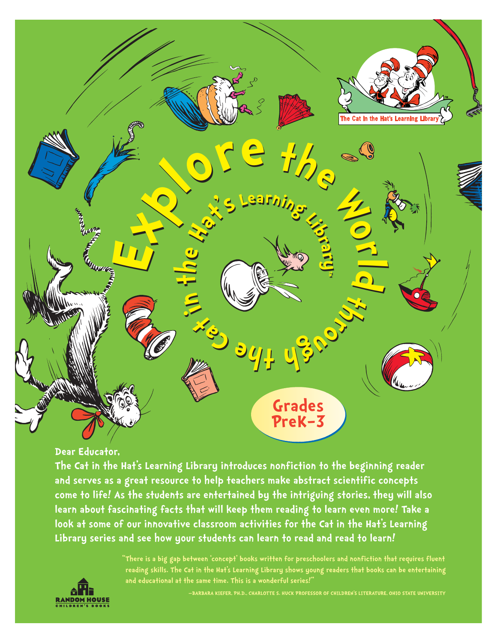

### **Dear Educator,**

**The Cat in the Hat's Learning Library introduces nonfiction to the beginning reader and serves as a great resource to help teachers make abstract scientific concepts come to life! As the students are entertained by the intriguing stories, they will also learn about fascinating facts that will keep them reading to learn even more! Take a look at some of our innovative classroom activities for the Cat in the Hat's Learning Library series and see how your students can learn to read and read to learn!**

> **"There is a big gap between 'concept' books written for preschoolers and nonfiction that requires fluent reading skills. The Cat in the Hat's Learning Library shows young readers that books can be entertaining and educational at the same time. This is a wonderful series!"**

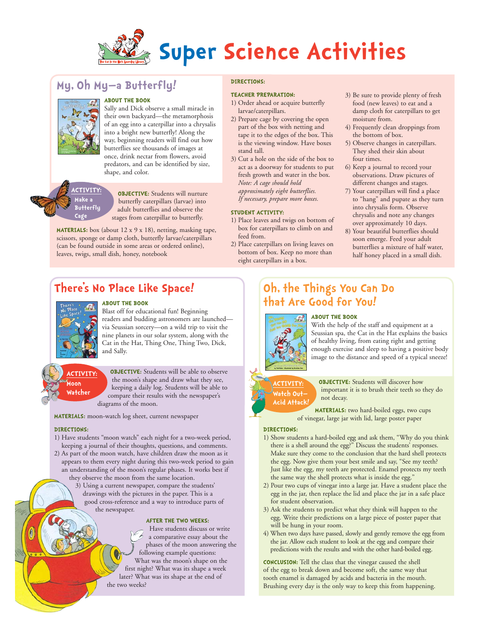

# **My, Oh My—a Butterfly!**



### **ABOUT THE BOOK**

Sally and Dick observe a small miracle in their own backyard—the metamorphosis of an egg into a caterpillar into a chrysalis into a bright new butterfly! Along the way, beginning readers will find out how butterflies see thousands of images at once, drink nectar from flowers, avoid predators, and can be identified by size, shape, and color.

**ACTIVITY: Make a Butterfly Cage**

**OBJECTIVE:** Students will nurture butterfly caterpillars (larvae) into adult butterflies and observe the stages from caterpillar to butterfly.

**MATERIALS:** box (about 12 x 9 x 18), netting, masking tape, scissors, sponge or damp cloth, butterfly larvae/caterpillars (can be found outside in some areas or ordered online), leaves, twigs, small dish, honey, notebook

# **There's No Place Like Space!**



### **ABOUT THE BOOK**

Blast off for educational fun! Beginning readers and budding astronomers are launched via Seussian sorcery—on a wild trip to visit the nine planets in our solar system, along with the Cat in the Hat, Thing One, Thing Two, Dick, and Sally.

### **ACTIVITY: Moon Watcher**

**OBJECTIVE:** Students will be able to observe the moon's shape and draw what they see, keeping a daily log. Students will be able to compare their results with the newspaper's diagrams of the moon.

**MATERIALS:** moon-watch log sheet, current newspaper

#### **DIRECTIONS:**

- 1) Have students "moon watch" each night for a two-week period, keeping a journal of their thoughts, questions, and comments.
- 2) As part of the moon watch, have children draw the moon as it appears to them every night during this two-week period to gain an understanding of the moon's regular phases. It works best if they observe the moon from the same location.
	- 3) Using a current newspaper, compare the students' drawings with the pictures in the paper. This is a good cross-reference and a way to introduce parts of the newspaper.

#### **AFTER THE TWO WEEKS:**

Have students discuss or write a comparative essay about the phases of the moon answering the following example questions: What was the moon's shape on the first night? What was its shape a week later? What was its shape at the end of the two weeks?

### **DIRECTIONS:**

#### **TEACHER PREPARATION:**

- 1) Order ahead or acquire butterfly larvae/caterpillars.
- 2) Prepare cage by covering the open part of the box with netting and tape it to the edges of the box. This is the viewing window. Have boxes stand tall.
- 3) Cut a hole on the side of the box to act as a doorway for students to put fresh growth and water in the box. *Note: A cage should hold approximately eight butterflies. If necessary, prepare more boxes.*

### **STUDENT ACTIVITY:**

- 1) Place leaves and twigs on bottom of box for caterpillars to climb on and feed from.
- 2) Place caterpillars on living leaves on bottom of box. Keep no more than eight caterpillars in a box.
- 3) Be sure to provide plenty of fresh food (new leaves) to eat and a damp cloth for caterpillars to get moisture from.
- 4) Frequently clean droppings from the bottom of box.
- 5) Observe changes in caterpillars. They shed their skin about four times.
- 6) Keep a journal to record your observations. Draw pictures of different changes and stages.
- 7) Your caterpillars will find a place to "hang" and pupate as they turn into chrysalis form. Observe chrysalis and note any changes over approximately 10 days.
- 8) Your beautiful butterflies should soon emerge. Feed your adult butterflies a mixture of half water, half honey placed in a small dish.

# **Oh, the Things You Can Do that Are Good for You!**

### **ABOUT THE BOOK**



With the help of the staff and equipment at a Seussian spa, the Cat in the Hat explains the basics of healthy living, from eating right and getting enough exercise and sleep to having a positive body image to the distance and speed of a typical sneeze!



**OBJECTIVE:** Students will discover how important it is to brush their teeth so they do not decay.

**MATERIALS:** two hard-boiled eggs, two cups of vinegar, large jar with lid, large poster paper

#### **DIRECTIONS:**

- 1) Show students a hard-boiled egg and ask them, "Why do you think there is a shell around the egg?" Discuss the students' responses. Make sure they come to the conclusion that the hard shell protects the egg. Now give them your best smile and say, "See my teeth? Just like the egg, my teeth are protected. Enamel protects my teeth the same way the shell protects what is inside the egg."
- 2) Pour two cups of vinegar into a large jar. Have a student place the egg in the jar, then replace the lid and place the jar in a safe place for student observation.
- 3) Ask the students to predict what they think will happen to the egg. Write their predictions on a large piece of poster paper that will be hung in your room.
- 4) When two days have passed, slowly and gently remove the egg from the jar. Allow each student to look at the egg and compare their predictions with the results and with the other hard-boiled egg.

**CONCLUSION:** Tell the class that the vinegar caused the shell of the egg to break down and become soft, the same way that tooth enamel is damaged by acids and bacteria in the mouth. Brushing every day is the only way to keep this from happening.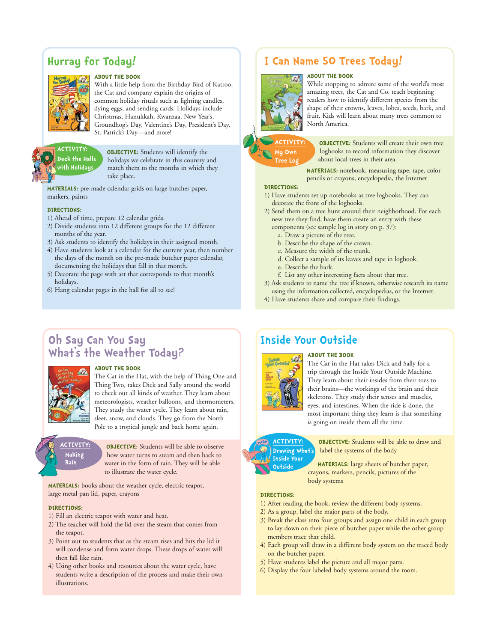# **Hurray for Today!**



#### **ABOUT THE BOOK**

With a little help from the Birthday Bird of Katroo, the Cat and company explain the origins of common holiday rituals such as lighting candles, dying eggs, and sending cards. Holidays include Christmas, Hanukkah, Kwanzaa, New Year's, Groundhog's Day, Valentine's Day, President's Day, St. Patrick's Day—and more!

### **ACTIVITY: Deck the Halls with Holidays**

**OBJECTIVE:** Students will identify the holidays we celebrate in this country and match them to the months in which they take place.

**MATERIALS:** pre-made calendar grids on large butcher paper, markers, paints

### **DIRECTIONS:**

- 1) Ahead of time, prepare 12 calendar grids.
- 2) Divide students into 12 different groups for the 12 different months of the year.
- 3) Ask students to identify the holidays in their assigned month.
- 4) Have students look at a calendar for the current year, then number the days of the month on the pre-made butcher paper calendar, documenting the holidays that fall in that month.
- 5) Decorate the page with art that corresponds to that month's holidays.
- 6) Hang calendar pages in the hall for all to see!

### **I Can Name 50 Trees Today! ABOUT THE BOOK**



While stopping to admire some of the world's most amazing trees, the Cat and Co. teach beginning readers how to identify different species from the shape of their crowns, leaves, lobes, seeds, bark, and fruit. Kids will learn about many trees common to North America.



**OBJECTIVE:** Students will create their own tree logbooks to record information they discover about local trees in their area.

**MATERIALS:** notebook, measuring tape, tape, color pencils or crayons, encyclopedia, the Internet

#### **DIRECTIONS:**

- 1) Have students set up notebooks as tree logbooks. They can decorate the front of the logbooks.
- 2) Send them on a tree hunt around their neighborhood. For each new tree they find, have them create an entry with these
	- components (see sample log in story on p. 37):
		- a. Draw a picture of the tree.
		- b. Describe the shape of the crown.
		- c. Measure the width of the trunk.
		- d. Collect a sample of its leaves and tape in logbook.
	- e. Describe the bark.
- f. List any other interesting facts about that tree. 3) Ask students to name the tree if known, otherwise research its name
- using the information collected, encyclopedias, or the Internet.
- 4) Have students share and compare their findings.

### **Oh Say Can You Say What's the Weather Today?**



#### **ABOUT THE BOOK**

The Cat in the Hat, with the help of Thing One and Thing Two, takes Dick and Sally around the world to check out all kinds of weather. They learn about meteorologists, weather balloons, and thermometers. They study the water cycle. They learn about rain, sleet, snow, and clouds. They go from the North Pole to a tropical jungle and back home again.

**ACTIVITY: Making Rain**

**OBJECTIVE:** Students will be able to observe how water turns to steam and then back to water in the form of rain. They will be able to illustrate the water cycle.

**MATERIALS:** books about the weather cycle, electric teapot, large metal pan lid, paper, crayons

#### **DIRECTIONS:**

- 1) Fill an electric teapot with water and heat.
- 2) The teacher will hold the lid over the steam that comes from the teapot.
- 3) Point out to students that as the steam rises and hits the lid it will condense and form water drops. These drops of water will then fall like rain.
- 4) Using other books and resources about the water cycle, have students write a description of the process and make their own illustrations.

### **Inside Your Outside**



The Cat in the Hat takes Dick and Sally for a trip through the Inside Your Outside Machine. They learn about their insides from their toes to their brains—the workings of the brain and their skeletons. They study their senses and muscles, eyes, and intestines. When the ride is done, the most important thing they learn is that something

#### **ACTIVITY: Drawing What's Inside Your Outside**

**OBJECTIVE:** Students will be able to draw and label the systems of the body

**MATERIALS:** large sheets of butcher paper, crayons, markers, pencils, pictures of the body systems

#### **DIRECTIONS:**

- 1) After reading the book, review the different body systems.
- 2) As a group, label the major parts of the body.
- 3) Break the class into four groups and assign one child in each group to lay down on their piece of butcher paper while the other group members trace that child.

is going on inside them all the time.

- 4) Each group will draw in a different body system on the traced body on the butcher paper.
- 5) Have students label the picture and all major parts.
- 6) Display the four labeled body systems around the room.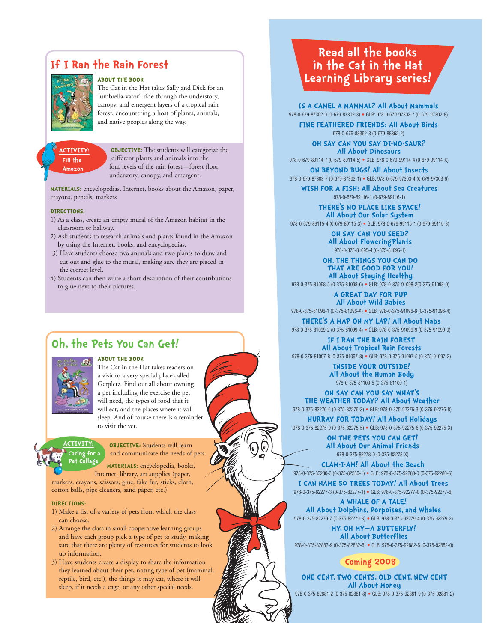# **If I Ran the Rain Forest**



#### **ABOUT THE BOOK**

The Cat in the Hat takes Sally and Dick for an "umbrella-vator" ride through the understory, canopy, and emergent layers of a tropical rain forest, encountering a host of plants, animals, and native peoples along the way.

#### **ACTIVITY: Fill the Amazon**

**OBJECTIVE:** The students will categorize the different plants and animals into the four levels of the rain forest—forest floor, understory, canopy, and emergent.

**MATERIALS:** encyclopedias, Internet, books about the Amazon, paper, crayons, pencils, markers

#### **DIRECTIONS:**

- 1) As a class, create an empty mural of the Amazon habitat in the classroom or hallway.
- 2) Ask students to research animals and plants found in the Amazon by using the Internet, books, and encyclopedias.
- 3) Have students choose two animals and two plants to draw and cut out and glue to the mural, making sure they are placed in the correct level.
- 4) Students can then write a short description of their contributions to glue next to their pictures.

### **Oh, the Pets You Can Get!**



**ACTIVITY: Caring for a**

### **ABOUT THE BOOK**

The Cat in the Hat takes readers on a visit to a very special place called Gerpletz. Find out all about owning a pet including the exercise the pet will need, the types of food that it will eat, and the places where it will sleep. And of course there is a reminder to visit the vet.

**OBJECTIVE:** Students will learn and communicate the needs of pets.

**MATERIALS:** encyclopedia, books, Internet, library, art supplies (paper, markers, crayons, scissors, glue, fake fur, sticks, cloth, cotton balls, pipe cleaners, sand paper, etc.) **Pet Collage**

#### **DIRECTIONS:**

- 1) Make a list of a variety of pets from which the class can choose.
- 2) Arrange the class in small cooperative learning groups and have each group pick a type of pet to study, making sure that there are plenty of resources for students to look up information.
- 3) Have students create a display to share the information they learned about their pet, noting type of pet (mammal, reptile, bird, etc.), the things it may eat, where it will sleep, if it needs a cage, or any other special needs.

# **Read all the books in the Cat in the Hat Learning Library series!**

**IS A CAMEL A MAMMAL? All About Mammals** 978-0-679-87302-0 (0-679-87302-3) • GLB: 978-0-679-97302-7 (0-679-97302-8)

**FINE FEATHERED FRIENDS: All About Birds** 978-0-679-88362-3 (0-679-88362-2)

**OH SAY CAN YOU SAY DI-NO-SAUR? All About Dinosaurs**

978-0-679-89114-7 (0-679-89114-5) • GLB: 978-0-679-99114-4 (0-679-99114-X) **ON BEYOND BUGS! All About Insects** 978-0-679-87303-7 (0-679-87303-1) • GLB: 978-0-679-97303-4 (0-679-97303-6)

**WISH FOR A FISH: All About Sea Creatures** 978-0-679-89116-1 (0-679-89116-1)

**THERE'S NO PLACE LIKE SPACE! All About Our Solar System** 978-0-679-89115-4 (0-679-89115-3) • GLB: 978-0-679-99115-1 (0-679-99115-8)

> **OH SAY CAN YOU SEED? All About FloweringPlants**  978-0-375-81095-4 (0-375-81095-1)

**OH, THE THINGS YOU CAN DO THAT ARE GOOD FOR YOU! All About Staying Healthy**

978-0-375-81098-5 (0-375-81098-6) • GLB: 978-0-375-91098-2(0-375-91098-0)

**A GREAT DAY FOR PUP All About Wild Babies** 978-0-375-81096-1 (0-375-81096-X) • GLB: 978-0-375-91096-8 (0-375-91096-4)

**THERE'S A MAP ON MY LAP! All About Maps** 978-0-375-81099-2 (0-375-81099-4) • GLB: 978-0-375-91099-9 (0-375-91099-9)

**IF I RAN THE RAIN FOREST All About Tropical Rain Forests** 978-0-375-81097-8 (0-375-81097-8) • GLB: 978-0-375-91097-5 (0-375-91097-2)

> **INSIDE YOUR OUTSIDE! All About the Human Body** 978-0-375-81100-5 (0-375-81100-1)

**OH SAY CAN YOU SAY WHAT'S THE WEATHER TODAY? All About Weather** 978-0-375-82276-6 (0-375-82276-3) • GLB: 978-0-375-92276-3 (0-375-92276-8)

**HURRAY FOR TODAY! All About Holidays** 978-0-375-82275-9 (0-375-82275-5) • GLB: 978-0-375-92275-6 (0-375-92275-X)

> **OH THE PETS YOU CAN GET! All About Our Animal Friends** 978-0-375-82278-0 (0-375-82278-X)

**CLAM-I-AM! All About the Beach** 978-0-375-82280-3 (0-375-82280-1) • GLB: 978-0-375-92280-0 (0-375-92280-6)

**I CAN NAME 50 TREES TODAY! All About Trees** 978-0-375-82277-3 (0-375-82277-1) • GLB: 978-0-375-92277-0 (0-375-92277-6)

**A WHALE OF A TALE! All About Dolphins, Porpoises, and Whales** 978-0-375-82279-7 (0-375-82279-8) • GLB: 978-0-375-92279-4 (0-375-92279-2)

**MY, OH MY—A BUTTERFLY! All About Butterflies** 978-0-375-82882-9 (0-375-82882-6) • GLB: 978-0-375-92882-6 (0-375-92882-0)

### **Coming 2008**

**ONE CENT, TWO CENTS, OLD CENT, NEW CENT All About Money** 978-0-375-82881-2 (0-375-82881-8) • GLB: 978-0-375-92881-9 (0-375-92881-2)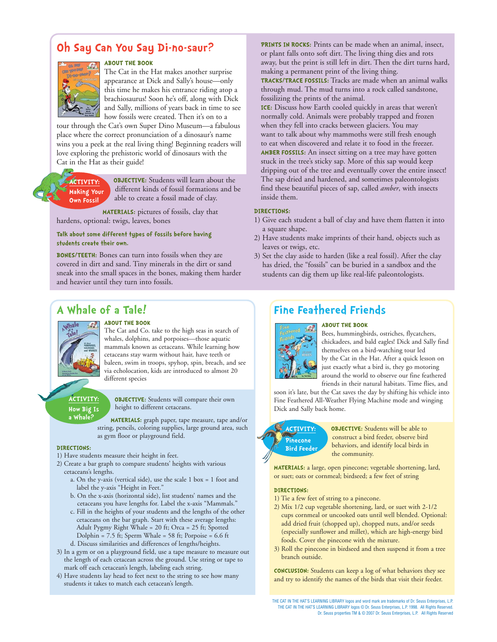# **Oh Say Can You Say Di-no-saur?**



#### **ABOUT THE BOOK**

The Cat in the Hat makes another surprise appearance at Dick and Sally's house—only this time he makes his entrance riding atop a brachiosaurus! Soon he's off, along with Dick and Sally, millions of years back in time to see how fossils were created. Then it's on to a

tour through the Cat's own Super Dino Museum—a fabulous place where the correct pronunciation of a dinosaur's name wins you a peek at the real living thing! Beginning readers will love exploring the prehistoric world of dinosaurs with the Cat in the Hat as their guide!

### **ACTIVITY: Making Your Own Fossil**

**OBJECTIVE:** Students will learn about the different kinds of fossil formations and be able to create a fossil made of clay.

**MATERIALS:** pictures of fossils, clay that

hardens, optional: twigs, leaves, bones

**Talk about some different types of fossils before having students create their own.**

**BONES/TEETH:** Bones can turn into fossils when they are covered in dirt and sand. Tiny minerals in the dirt or sand sneak into the small spaces in the bones, making them harder and heavier until they turn into fossils.

**PRINTS IN ROCKS:** Prints can be made when an animal, insect, or plant falls onto soft dirt. The living thing dies and rots away, but the print is still left in dirt. Then the dirt turns hard, making a permanent print of the living thing.

**TRACKS/TRACE FOSSILS:** Tracks are made when an animal walks through mud. The mud turns into a rock called sandstone, fossilizing the prints of the animal.

**ICE:** Discuss how Earth cooled quickly in areas that weren't normally cold. Animals were probably trapped and frozen when they fell into cracks between glaciers. You may want to talk about why mammoths were still fresh enough to eat when discovered and relate it to food in the freezer. **AMBER FOSSILS:** An insect sitting on a tree may have gotten stuck in the tree's sticky sap. More of this sap would keep dripping out of the tree and eventually cover the entire insect! The sap dried and hardened, and sometimes paleontologists find these beautiful pieces of sap, called *amber*, with insects inside them.

### **DIRECTIONS:**

- 1) Give each student a ball of clay and have them flatten it into a square shape.
- 2) Have students make imprints of their hand, objects such as leaves or twigs, etc.
- 3) Set the clay aside to harden (like a real fossil). After the clay has dried, the "fossils" can be buried in a sandbox and the students can dig them up like real-life paleontologists.

### **A Whale of a Tale!**



### **ABOUT THE BOOK**

The Cat and Co. take to the high seas in search of whales, dolphins, and porpoises—those aquatic mammals known as cetaceans. While learning how cetaceans stay warm without hair, have teeth or baleen, swim in troops, spyhop, spin, breach, and see via echolocation, kids are introduced to almost 20 different species

#### **ACTIVITY: How Big Is a Whale?**

**OBJECTIVE:** Students will compare their own height to different cetaceans.

**MATERIALS:** graph paper, tape measure, tape and/or string, pencils, coloring supplies, large ground area, such as gym floor or playground field.

#### **DIRECTIONS:**

- 1) Have students measure their height in feet.
- 2) Create a bar graph to compare students' heights with various cetaceans's lengths.
	- a. On the y-axis (vertical side), use the scale 1 box = 1 foot and label the y-axis "Height in Feet."
	- b. On the x-axis (horizontal side), list students' names and the cetaceans you have lengths for. Label the x-axis "Mammals."
	- c. Fill in the heights of your students and the lengths of the other cetaceans on the bar graph. Start with these average lengths: Adult Pygmy Right Whale = 20 ft; Orca = 25 ft; Spotted Dolphin =  $7.5$  ft; Sperm Whale =  $58$  ft; Porpoise =  $6.6$  ft
	- d. Discuss similarities and differences of lengths/heights.
- 3) In a gym or on a playground field, use a tape measure to measure out the length of each cetacean across the ground. Use string or tape to mark off each cetacean's length, labeling each string.
- 4) Have students lay head to feet next to the string to see how many students it takes to match each cetacean's length.

### **Fine Feathered Friends**



### **ABOUT THE BOOK**

Bees, hummingbirds, ostriches, flycatchers, chickadees, and bald eagles! Dick and Sally find themselves on a bird-watching tour led by the Cat in the Hat. After a quick lesson on just exactly what a bird is, they go motoring around the world to observe our fine feathered friends in their natural habitats. Time flies, and

soon it's late, but the Cat saves the day by shifting his vehicle into Fine Feathered All-Weather Flying Machine mode and winging Dick and Sally back home.



**OBJECTIVE:** Students will be able to construct a bird feeder, observe bird behaviors, and identify local birds in the community.

**MATERIALS:** a large, open pinecone; vegetable shortening, lard, or suet; oats or cornmeal; birdseed; a few feet of string

#### **DIRECTIONS:**

- 1) Tie a few feet of string to a pinecone.
- 2) Mix 1/2 cup vegetable shortening, lard, or suet with 2-1/2 cups cornmeal or uncooked oats until well blended. Optional: add dried fruit (chopped up), chopped nuts, and/or seeds (especially sunflower and millet), which are high-energy bird foods. Cover the pinecone with the mixture.
- 3) Roll the pinecone in birdseed and then suspend it from a tree branch outside.

**CONCLUSION:** Students can keep a log of what behaviors they see and try to identify the names of the birds that visit their feeder.

THE CAT IN THE HAT'S LEARNING LIBRARY logos and word mark are trademarks of Dr. Seuss Enterprises, L.P. THE CAT IN THE HAT'S LEARNING LIBRARY logos © Dr. Seuss Enterprises, L.P. 1998. All Rights Reserved. Dr. Seuss properties TM & © 2007 Dr. Seuss Enterprises, L.P. All Rights Reserved